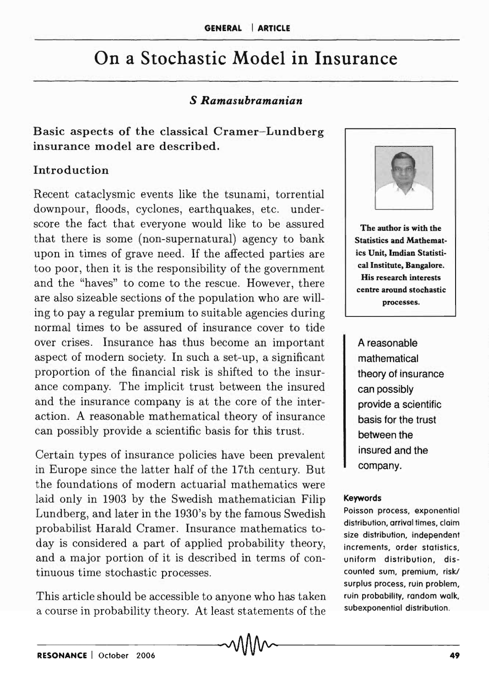# On a Stochastic Model in Insurance

## S *Ramasubramanian*

Basic aspects of the classical Cramer-Lundberg insurance model are described.

#### Introduction

Recent cataclysmic events like the tsunami, torrential downpour, floods, cyclones, earthquakes, etc. underscore the fact that everyone would like to be assured that there is some (non-supernatural) agency to bank upon in times of grave need. If the affected parties are too poor, then it is the responsibility of the government and the "haves" to come to the rescue. However, there are also sizeable sections of the population who are willing to pay a regular premium to suitable agencies during normal times to be assured of insurance cover to tide over crises. Insurance has thus become an important aspect of modern society. In such a set-up, a significant proportion of the financial risk is shifted to the insurance company. The implicit trust between the insured and the insurance company is at the core of the interaction. A reasonable mathematical theory of insurance can possibly provide a scientific basis for this trust.

Certain types of insurance policies have been prevalent in Europe since the latter half of the 17th century. But the foundations of modern actuarial mathematics were laid only in 1903 by the Swedish mathematician Filip Lundberg, and later in the 1930's by the famous Swedish probabilist Harald Cramer. Insurance mathematics today is considered a part of applied probability theory, and a major portion of it is described in terms of continuous time stochastic processes.

This article should be accessible to anyone who has taken a course in probability theory. At least statements of the



The author is with the Statistics and Mathematics Unit, Imdian Statistical Institute, Bangalore. His research interests centre around stochastic processes.

A reasonable mathematical theory of insurance can possibly provide a scientific basis for the trust between the insured and the company.

#### Keywords

Poisson process, exponential distribution, arrival times, claim size distribution, independent increments, order statistics, uniform distribution, discounted sum, premium, risk./ surplus process, ruin problem, ruin probability, random walk., subexponential distribution.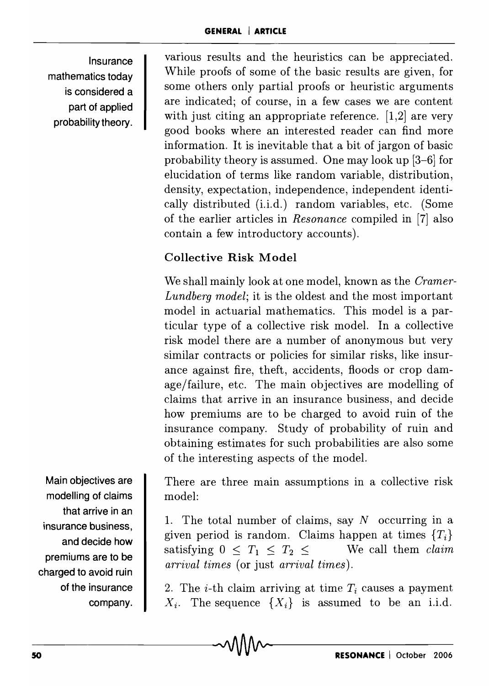Insurance mathematics today is considered a part of applied probability theory.

various results and the heuristics can be appreciated. While proofs of some of the basic results are given, for some others only partial proofs or heuristic arguments are indicated; of course, in a few cases we are content with just citing an appropriate reference. [1,2] are very good books where an interested reader can find more information. It is inevitable that a bit of jargon of basic probability theory is assumed. One may look up [3-6] for elucidation of terms like random variable, distribution, density, expectation, independence, independent identically distributed (i.i.d.) random variables, etc. (Some of the earlier articles in *Resonance* compiled in [7] also contain a few introductory accounts).

# Collective Risk Model

We shall mainly look at one model, known as the *Cramer-Lundberg model;* it is the oldest and the most important model in actuarial mathematics. This model is a particular type of a collective risk model. In a collective risk model there are a number of anonymous but very similar contracts or policies for similar risks, like insurance against fire, theft, accidents, floods or crop damage/failure, etc. The main objectives are modelling of claims that arrive in an insurance business, and decide how premiums are to be charged to avoid ruin of the insurance company. Study of probability of ruin and obtaining estimates for such probabilities are also some of the interesting aspects of the model.

There are three main assumptions in a collective risk model:

1. The total number of claims, say  $N$  occurring in a given period is random. Claims happen at times  ${T<sub>i</sub>}$ satisfying  $0 < T_1 < T_2 <$  We call them *claim arrival times* (or just *arrival times).* 

2. The *i*-th claim arriving at time  $T_i$  causes a payment  $X_i$ . The sequence  $\{X_i\}$  is assumed to be an i.i.d.

Main objectives are modelling of claims that arrive in an insurance business, and decide how premiums are to be charged to avoid ruin of the insurance company.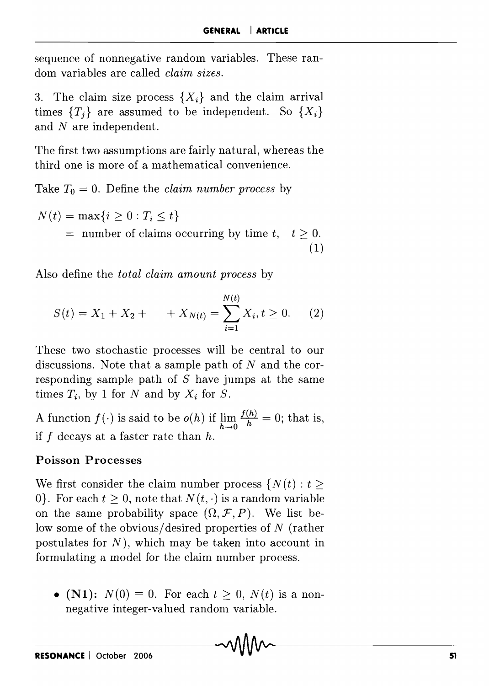sequence of nonnegative random variables. These random variables are called *claim sizes.* 

3. The claim size process  $\{X_i\}$  and the claim arrival times  ${T<sub>i</sub>}$  are assumed to be independent. So  ${X<sub>i</sub>}$ and N are independent.

The first two assumptions are fairly natural, whereas the third one is more of a mathematical convenience.

Take  $T_0 = 0$ . Define the *claim number process* by

$$
N(t) = \max\{i \ge 0 : T_i \le t\}
$$
  
= number of claims occurring by time t,  $t \ge 0$ .  
(1)

Also define the *total claim amount process* by

$$
S(t) = X_1 + X_2 + \qquad + X_{N(t)} = \sum_{i=1}^{N(t)} X_i, t \ge 0. \tag{2}
$$

These two stochastic processes will be central to our discussions. Note that a sample path of *N* and the corresponding sample path of *S* have jumps at the same times  $T_i$ , by 1 for *N* and by  $X_i$  for *S*.

A function  $f(\cdot)$  is said to be  $o(h)$  if  $\lim_{h\to 0} \frac{f(h)}{h} = 0$ ; that is, if f decays at a faster rate than *h.* 

#### Poisson Processes

We first consider the claim number process  $\{N(t): t \geq 0\}$ 0. For each  $t \geq 0$ , note that  $N(t, \cdot)$  is a random variable on the same probability space  $(\Omega, \mathcal{F}, P)$ . We list below some of the obvious/ desired properties of N (rather postulates for  $N$ ), which may be taken into account in formulating a model for the claim number process.

• (N1):  $N(0) \equiv 0$ . For each  $t \geq 0$ ,  $N(t)$  is a nonnegative integer-valued random variable.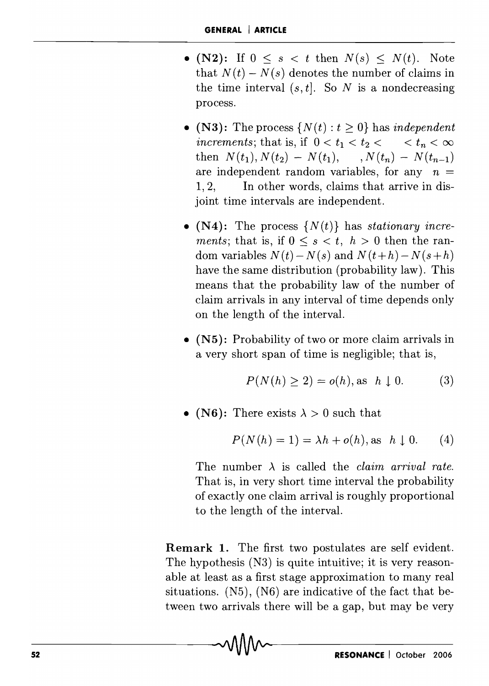- (N2): If  $0 \leq s \leq t$  then  $N(s) \leq N(t)$ . Note that  $N(t) - N(s)$  denotes the number of claims in the time interval  $(s, t]$ . So *N* is a nondecreasing process.
- (N3): The process  $\{N(t): t \geq 0\}$  has *independent increments;* that is, if  $0 < t_1 < t_2 < \ldots < t_n < \infty$ then  $N(t_1)$ ,  $N(t_2) - N(t_1)$ ,  $N(t_n) - N(t_{n-1})$ are independent random variables, for any  $n =$ 1, 2, In other words, claims that arrive in disjoint time intervals are independent.
- $(N4)$ : The process  $\{N(t)\}\$ has *stationary increments;* that is, if  $0 \leq s \leq t$ ,  $h > 0$  then the random variables  $N(t) - N(s)$  and  $N(t+h) - N(s+h)$ have the same distribution (probability law). This means that the probability law of the number of claim arrivals in any interval of time depends only on the length of the interval.
- (N5): Probability of two or more claim arrivals in a very short span of time is negligible; that is,

$$
P(N(h) \ge 2) = o(h), \text{as } h \downarrow 0. \tag{3}
$$

• (N6): There exists  $\lambda > 0$  such that

$$
P(N(h) = 1) = \lambda h + o(h), \text{ as } h \downarrow 0. \tag{4}
$$

The number  $\lambda$  is called the *claim arrival rate*. That is, in very short time interval the probability of exactly one claim arrival is roughly proportional to the length of the interval.

Remark 1. The first two postulates are self evident. The hypothesis (N3) is quite intuitive; it is very reasonable at least as a first stage approximation to many real situations. (N5), (N6) are indicative of the fact that between two arrivals there will be a gap, but may be very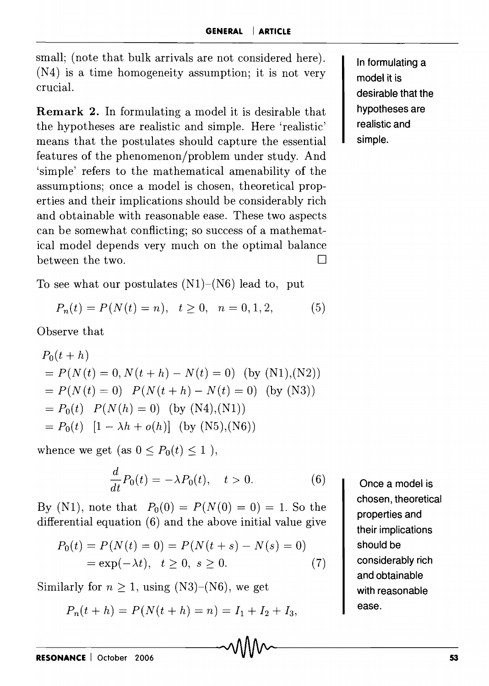small; (note that bulk arrivals are not considered here). (N4) is a time homogeneity assumption; it is not very crucial.

Remark 2. In formulating a model it is desirable that the hypotheses are realistic and simple. Here 'realistic' means that the postulates should capture the essential features of the phenomenon/problem under study. And 'simple' refers to the mathematical amenability of the assum ptions; once a model is chosen, theoretical properties and their implications should be considerably rich and obtainable with reasonable ease. These two aspects can be somewhat conflicting; so success of a mathematical model depends very much on the optimal balance between the two.  $\Box$ 

To see what our postulates  $(N1)$ – $(N6)$  lead to, put

$$
P_n(t) = P(N(t) = n), \quad t \ge 0, \quad n = 0, 1, 2,
$$
 (5)

Observe that

$$
P_0(t + h)
$$
  
=  $P(N(t) = 0, N(t + h) - N(t) = 0)$  (by (N1),(N2))  
=  $P(N(t) = 0)$   $P(N(t + h) - N(t) = 0)$  (by (N3))  
=  $P_0(t)$   $P(N(h) = 0)$  (by (N4),(N1))  
=  $P_0(t)$   $[1 - \lambda h + o(h)]$  (by (N5),(N6))

whence we get (as  $0 \le P_0(t) \le 1$ ),

$$
\frac{d}{dt}P_0(t) = -\lambda P_0(t), \quad t > 0.
$$
 (6)

By (N1), note that  $P_0(0) = P(N(0) = 0) = 1$ . So the differential equation (6) and the above initial value give

$$
P_0(t) = P(N(t) = 0) = P(N(t + s) - N(s) = 0)
$$
  
= exp(- $\lambda t$ ),  $t \ge 0$ ,  $s \ge 0$ . (7)

Similarly for  $n \geq 1$ , using  $(N3)$ – $(N6)$ , we get

$$
P_n(t + h) = P(N(t + h) = n) = I_1 + I_2 + I_3,
$$

Once a model is chosen, theoretical properties and their implications should be considerably rich and obtainable with reasonable ease.

In formulating a model it is desirable that the hypotheses are realistic and simple.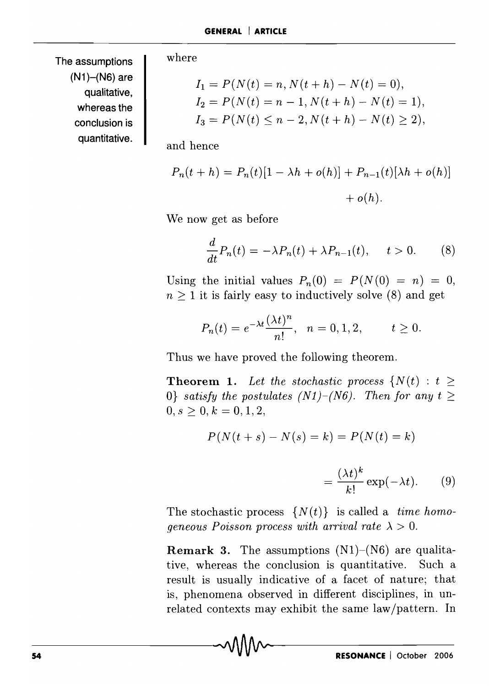The assumptions  $(N1)$ – $(N6)$  are qualitative, whereas the conclusion is quantitative. where

$$
I_1 = P(N(t) = n, N(t + h) - N(t) = 0),
$$
  
\n
$$
I_2 = P(N(t) = n - 1, N(t + h) - N(t) = 1),
$$
  
\n
$$
I_3 = P(N(t) \le n - 2, N(t + h) - N(t) \ge 2),
$$

and hence

$$
P_n(t + h) = P_n(t)[1 - \lambda h + o(h)] + P_{n-1}(t)[\lambda h + o(h)] + o(h).
$$

We now get as before

$$
\frac{d}{dt}P_n(t) = -\lambda P_n(t) + \lambda P_{n-1}(t), \quad t > 0.
$$
 (8)

Using the initial values  $P_n(0) = P(N(0) = n) = 0$ ,  $n > 1$  it is fairly easy to inductively solve (8) and get

$$
P_n(t) = e^{-\lambda t} \frac{(\lambda t)^n}{n!}, \quad n = 0, 1, 2, \qquad t \ge 0.
$$

Thus we have proved the following theorem.

**Theorem 1.** Let the stochastic process  $\{N(t): t \geq 0\}$ O} *satisfy the postulates (N1)-(N6)*. Then for any  $t \geq$  $0, s \geq 0, k = 0, 1, 2,$ 

$$
P(N(t + s) - N(s) = k) = P(N(t) = k)
$$

$$
= \frac{(\lambda t)^k}{k!} \exp(-\lambda t). \qquad (9)
$$

The stochastic process  $\{N(t)\}\$ is called a *time homogeneous Poisson process with arrival rate*  $\lambda > 0$ .

**Remark 3.** The assumptions  $(N1)$ – $(N6)$  are qualitative, whereas the conclusion is quantitative. Such a result is usually indicative of a facet of nature; that is, phenomena observed in different disciplines, in unrelated contexts may exhibit the same law/pattern. In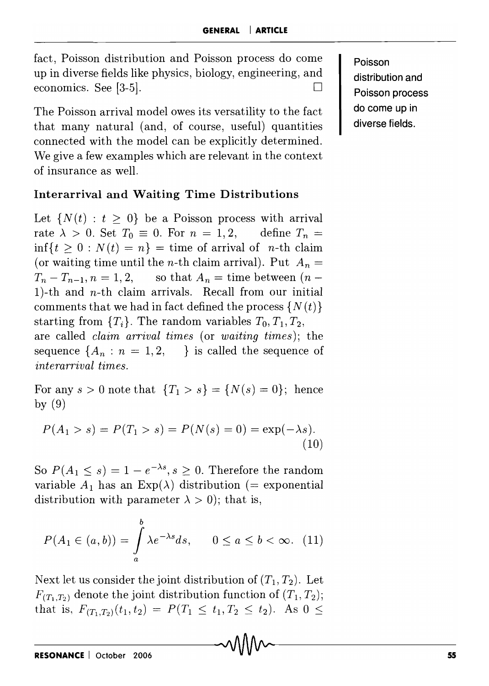fact, Poisson distribution and Poisson process do come up in diverse fields like physics, biology, engineering, and economics. See [3-5].  $\Box$ 

The Poisson arrival model owes its versatility to the fact that many natural (and, of course, useful) quantities connected with the model can be explicitly determined. We give a few examples which are relevant in the context of insurance as well.

# **Interarrival and Waiting Time Distributions**

Let  $\{N(t): t > 0\}$  be a Poisson process with arrival rate  $\lambda > 0$ . Set  $T_0 \equiv 0$ . For  $n = 1, 2$ , define  $T_n =$  $\inf\{t \geq 0 : N(t) = n\}$  = time of arrival of *n*-th claim (or waiting time until the *n*-th claim arrival). Put  $A_n =$  $T_n - T_{n-1}, n = 1, 2,$  so that  $A_n =$  time between  $(n -$ 1)-th and  $n$ -th claim arrivals. Recall from our initial comments that we had in fact defined the process  $\{N(t)\}$ starting from  ${T_i}$ . The random variables  $T_0, T_1, T_2, T_3$ are called *claim arrival times* (or *waiting times);* the sequence  $\{A_n: n = 1, 2, \dots\}$  is called the sequence of *interarrival times.* 

For any  $s > 0$  note that  ${T_1 > s} = {N(s) = 0}$ ; hence by (9)

$$
P(A_1 > s) = P(T_1 > s) = P(N(s) = 0) = \exp(-\lambda s).
$$
\n(10)

So  $P(A_1 \leq s) = 1 - e^{-\lambda s}, s \geq 0$ . Therefore the random variable  $A_1$  has an Exp( $\lambda$ ) distribution (= exponential distribution with parameter  $\lambda > 0$ ; that is,

$$
P(A_1 \in (a, b)) = \int_a^b \lambda e^{-\lambda s} ds, \qquad 0 \le a \le b < \infty. \tag{11}
$$

Next let us consider the joint distribution of  $(T_1, T_2)$ . Let  $F_{(T_1,T_2)}$  denote the joint distribution function of  $(T_1,T_2)$ ; that is,  $F_{(T_1,T_2)}(t_1,t_2) = P(T_1 \le t_1, T_2 \le t_2)$ . As  $0 \le$ 

**Poisson distribution and Poisson process do come up in diverse fields.**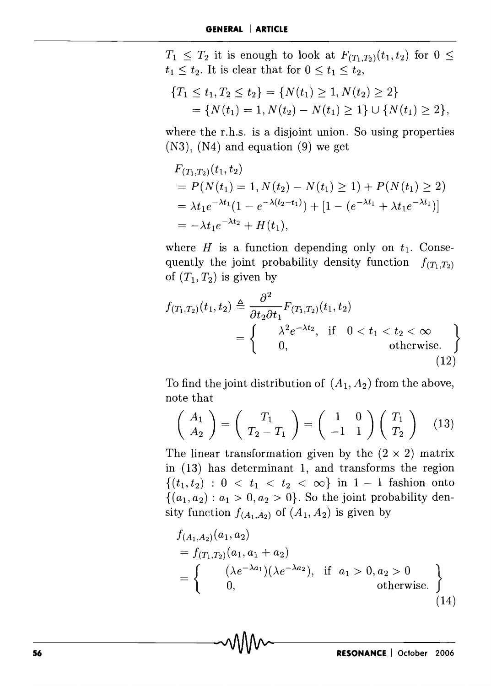$T_1 \leq T_2$  it is enough to look at  $F_{(T_1,T_2)}(t_1,t_2)$  for  $0 \leq$  $t_1 \leq t_2$ . It is clear that for  $0 \leq t_1 \leq t_2$ ,

$$
\begin{aligned} \{T_1 \le t_1, T_2 \le t_2\} &= \{N(t_1) \ge 1, N(t_2) \ge 2\} \\ &= \{N(t_1) = 1, N(t_2) - N(t_1) \ge 1\} \cup \{N(t_1) \ge 2\}, \end{aligned}
$$

where the r.h.s. is a disjoint union. So using properties (N3), (N4) and equation (9) we get

$$
F_{(T_1,T_2)}(t_1, t_2)
$$
  
=  $P(N(t_1) = 1, N(t_2) - N(t_1) \ge 1) + P(N(t_1) \ge 2)$   
=  $\lambda t_1 e^{-\lambda t_1} (1 - e^{-\lambda (t_2 - t_1)}) + [1 - (e^{-\lambda t_1} + \lambda t_1 e^{-\lambda t_1})]$   
=  $-\lambda t_1 e^{-\lambda t_2} + H(t_1),$ 

where  $H$  is a function depending only on  $t_1$ . Consequently the joint probability density function  $f_{(T_1,T_2)}$ of  $(T_1, T_2)$  is given by

$$
f_{(T_1,T_2)}(t_1,t_2) \triangleq \frac{\partial^2}{\partial t_2 \partial t_1} F_{(T_1,T_2)}(t_1,t_2)
$$
  
= 
$$
\begin{cases} \lambda^2 e^{-\lambda t_2}, & \text{if } 0 < t_1 < t_2 < \infty \\ 0, & \text{otherwise.} \end{cases}
$$
 (12)

To find the joint distribution of  $(A_1, A_2)$  from the above, note that

$$
\left(\begin{array}{c} A_1 \\ A_2 \end{array}\right) = \left(\begin{array}{c} T_1 \\ T_2 - T_1 \end{array}\right) = \left(\begin{array}{cc} 1 & 0 \\ -1 & 1 \end{array}\right) \left(\begin{array}{c} T_1 \\ T_2 \end{array}\right) \quad (13)
$$

The linear transformation given by the  $(2 \times 2)$  matrix in (13) has determinant 1, and transforms the region  $\{(t_1, t_2) : 0 < t_1 < t_2 < \infty\}$  in  $1 - 1$  fashion onto  $\{(a_1, a_2) : a_1 > 0, a_2 > 0\}$ . So the joint probability density function  $f_{(A_1, A_2)}$  of  $(A_1, A_2)$  is given by

$$
f_{(A_1, A_2)}(a_1, a_2)
$$
  
=  $f_{(T_1, T_2)}(a_1, a_1 + a_2)$   
=  $\begin{cases} (\lambda e^{-\lambda a_1})(\lambda e^{-\lambda a_2}), & \text{if } a_1 > 0, a_2 > 0 \\ 0, & \text{otherwise.} \end{cases}$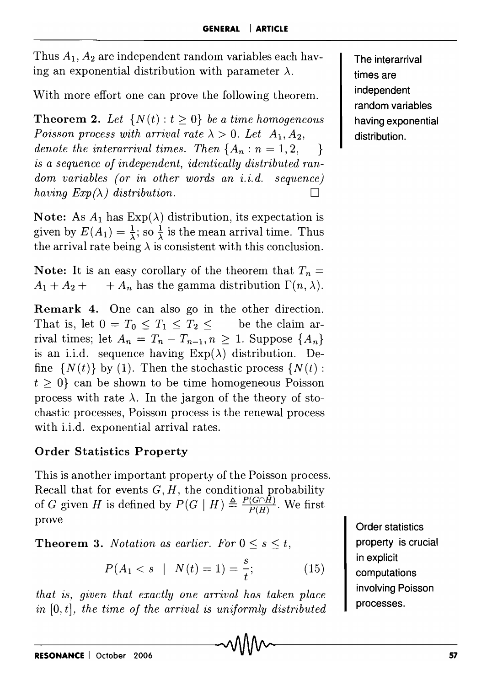Thus *AI, A2* are independent random variables each having an exponential distribution with parameter  $\lambda$ .

With more effort one can prove the following theorem.

**Theorem 2.** Let  $\{N(t): t \geq 0\}$  be a time homogeneous *Poisson process with arrival rate*  $\lambda > 0$ . *Let*  $A_1, A_2$ , *denote the interarrival times. Then*  $\{A_n : n = 1, 2, \dots\}$ is *a sequence of independent, identically distributed random variables (or in other words an i.i.d. sequence) having*  $Exp(\lambda)$  *distribution.* 

Note: As  $A_1$  has  $Exp(\lambda)$  distribution, its expectation is given by  $E(A_1) = \frac{1}{\lambda}$ ; so  $\frac{1}{\lambda}$  is the mean arrival time. Thus the arrival rate being  $\lambda$  is consistent with this conclusion.

Note: It is an easy corollary of the theorem that  $T_n =$  $A_1 + A_2 + \cdots + A_n$  has the gamma distribution  $\Gamma(n, \lambda)$ .

Remark 4. One can also go in the other direction. That is, let  $0 = T_0 \leq T_1 \leq T_2 \leq \dots$  be the claim arrival times; let  $A_n = T_n - T_{n-1}, n \ge 1$ . Suppose  $\{A_n\}$ is an i.i.d. sequence having  $Exp(\lambda)$  distribution. Define  $\{N(t)\}\$  by (1). Then the stochastic process  $\{N(t):$  $t \geq 0$  can be shown to be time homogeneous Poisson process with rate  $\lambda$ . In the jargon of the theory of stochastic processes, Poisson process is the renewal process with i.i.d. exponential arrival rates.

# Order Statistics Property

This is another important property of the Poisson process. Recall that for events G, *H,* the conditional probability of G given *H* is defined by  $P(G | H) \triangleq \frac{P(G \cap H)}{P(H)}$ . We first prove

**Theorem 3.** *Notation as earlier. For*  $0 \leq s \leq t$ ,

$$
P(A_1 < s \mid N(t) = 1) = \frac{s}{t};\tag{15}
$$

*that is, given that exactly one arrival has taken place in* [0, t], *the time of the arrival* is *uniformly distributed*  The interarrival times are independent random variables having exponential distribution.

Order statistics property is crucial in explicit computations involving Poisson processes.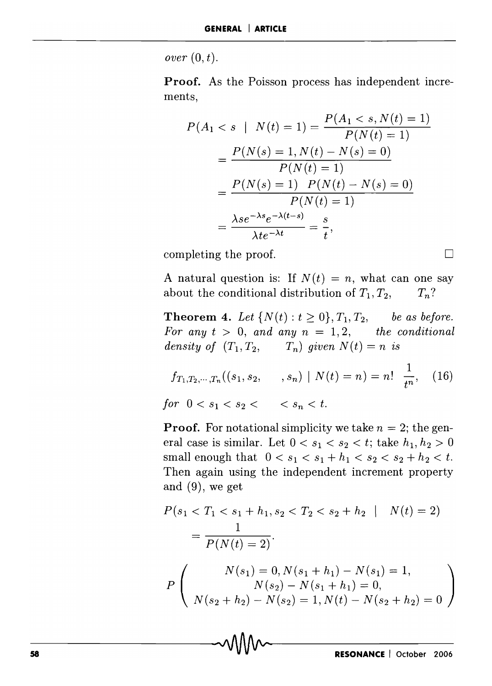$over(0, t)$ .

**Proof.** As the Poisson process has independent increments,

$$
P(A_1 < s \mid N(t) = 1) = \frac{P(A_1 < s, N(t) = 1)}{P(N(t) = 1)}
$$
\n
$$
= \frac{P(N(s) = 1, N(t) - N(s) = 0)}{P(N(t) = 1)}
$$
\n
$$
= \frac{P(N(s) = 1) \cdot P(N(t) - N(s) = 0)}{P(N(t) = 1)}
$$
\n
$$
= \frac{\lambda s e^{-\lambda s} e^{-\lambda (t - s)}}{\lambda t e^{-\lambda t}} = \frac{s}{t},
$$

completing the proof.

A natural question is: If  $N(t) = n$ , what can one say about the conditional distribution of  $T_1, T_2, T_n$ ?

**Theorem 4.** Let  $\{N(t): t \ge 0\}$ ,  $T_1, T_2$ , be as before. For any  $t > 0$ , and any  $n = 1, 2$ , the conditional *density of*  $(T_1, T_2, T_n)$  *qiven*  $N(t) = n$  *is* 

$$
f_{T_1, T_2, \cdots, T_n}((s_1, s_2, \ldots, s_n) \mid N(t) = n) = n! \frac{1}{t^n}, \quad (16)
$$
  
for  $0 < s_1 < s_2 < s_n < t.$ 

**Proof.** For notational simplicity we take  $n = 2$ ; the general case is similar. Let  $0 < s_1 < s_2 < t$ ; take  $h_1, h_2 > 0$ small enough that  $0 < s_1 < s_1 + h_1 < s_2 < s_2 + h_2 < t$ . Then again using the independent increment property and (9), we get

$$
P(s_1 < T_1 < s_1 + h_1, s_2 < T_2 < s_2 + h_2 \mid N(t) = 2)
$$
\n
$$
= \frac{1}{P(N(t) = 2)}.
$$
\n
$$
P\left(\n\begin{array}{c}\nN(s_1) = 0, N(s_1 + h_1) - N(s_1) = 1, \\
N(s_2) - N(s_1 + h_1) = 0, \\
N(s_2 + h_2) - N(s_2) = 1, N(t) - N(s_2 + h_2) = 0\n\end{array}\n\right)
$$

 $\Box$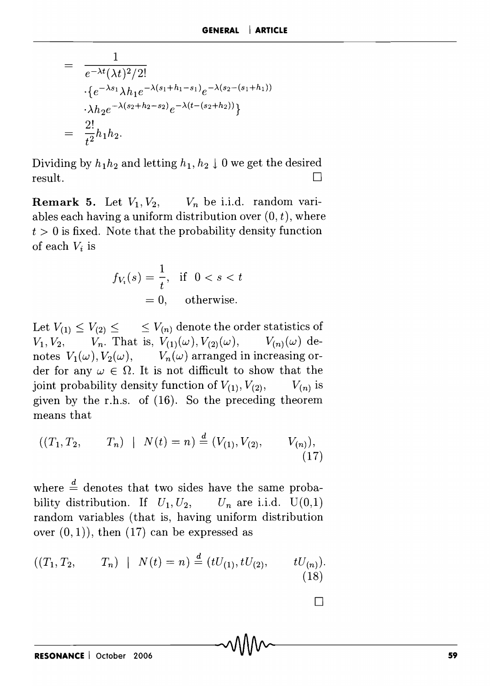$$
= \frac{1}{e^{-\lambda t}(\lambda t)^2/2!} \cdot \{e^{-\lambda s_1} \lambda h_1 e^{-\lambda (s_1 + h_1 - s_1)} e^{-\lambda (s_2 - (s_1 + h_1))} \cdot \lambda h_2 e^{-\lambda (s_2 + h_2 - s_2)} e^{-\lambda (t - (s_2 + h_2))} \} = \frac{2!}{t^2} h_1 h_2.
$$

Dividing by  $h_1 h_2$  and letting  $h_1, h_2 \downarrow 0$  we get the desired  $r$ esult.  $\Box$ 

**Remark 5.** Let  $V_1, V_2, \dots, V_n$  be i.i.d. random variables each having a uniform distribution over  $(0, t)$ , where  $t > 0$  is fixed. Note that the probability density function of each *Vi* is

$$
f_{V_t}(s) = \frac{1}{t}, \text{ if } 0 < s < t
$$
\n
$$
= 0, \text{ otherwise.}
$$

Let  $V_{(1)} \leq V_{(2)} \leq \cdots \leq V_{(n)}$  denote the order statistics of  $V_1, V_2, \qquad V_n$ . That is,  $V_{(1)}(\omega), V_{(2)}(\omega), \qquad V_{(n)}(\omega)$  denotes  $V_1(\omega)$ ,  $V_2(\omega)$ ,  $V_n(\omega)$  arranged in increasing order for any  $\omega \in \Omega$ . It is not difficult to show that the joint probability density function of  $V_{(1)}$ ,  $V_{(2)}$ ,  $V_{(n)}$  is given by the r.h.s. of (16). So the preceding theorem means that

$$
((T_1, T_2, \t T_n) | N(t) = n) \stackrel{d}{=} (V_{(1)}, V_{(2)}, \t V_{(n)}),
$$
\n(17)

where  $\frac{d}{dx}$  denotes that two sides have the same probability distribution. If  $U_1, U_2, \qquad U_n$  are i.i.d.  $U(0,1)$ random variables (that is, having uniform distribution over  $(0, 1)$ , then  $(17)$  can be expressed as

$$
((T_1, T_2, \t T_n) | N(t) = n) \stackrel{d}{=} (tU_{(1)}, tU_{(2)}, \t tU_{(n)}).
$$
\n(18)

RESONANCE October 2006 **Exercise Community Community Community Community Community Community Community Community** 

 $\Box$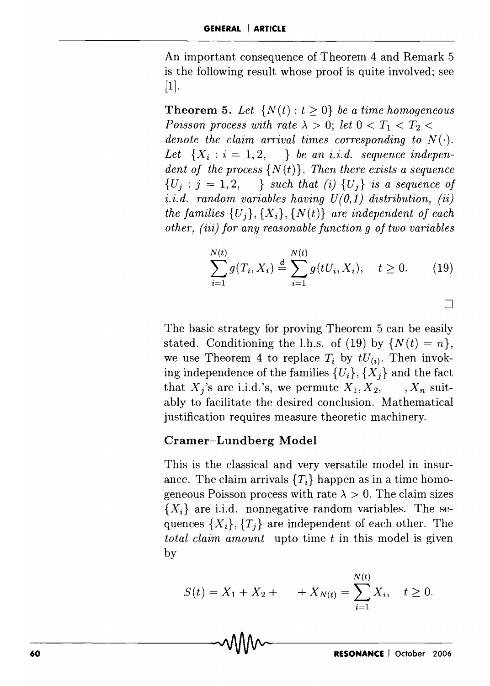An important consequence of Theorem 4 and Remark 5 is the following result whose proof is quite involved; see  $[1]$ .

**Theorem 5.** Let  $\{N(t): t \geq 0\}$  be a time homogeneous *Poisson process with rate*  $\lambda > 0$ ; *let*  $0 < T_1 < T_2$ *denote the claim arrival times corresponding to*  $N(\cdot)$ . Let  $\{X_i : i = 1, 2, \dots \}$  *be an i.i.d. sequence independent of the process*  $\{N(t)\}\$ . Then there exists a sequence  ${U_j : j = 1,2, \dots}$  *such that (i)*  ${U_j}$  *is a sequence of*  $i.i.d.$  random variables having  $U(0,1)$  distribution,  $(ii)$ *the families*  $\{U_i\}$ ,  $\{X_i\}$ ,  $\{N(t)\}$  *are independent of each other,* (iii) *for any reasonable function g of two variables* 

$$
\sum_{i=1}^{N(t)} g(T_i, X_i) \stackrel{d}{=} \sum_{i=1}^{N(t)} g(tU_i, X_i), \quad t \ge 0.
$$
 (19)

o

The basic strategy for proving Theorem 5 can be easily stated. Conditioning the l.h.s. of (19) by  $\{N(t) = n\},\$ we use Theorem 4 to replace  $T_i$  by  $tU_{(i)}$ . Then invoking independence of the families  $\{U_i\}$ ,  $\{X_j\}$  and the fact that  $X_i$ 's are i.i.d.'s, we permute  $X_1, X_2, \dots, X_n$  suitably to facilitate the desired conclusion. Mathematical justification requires measure theoretic machinery.

#### **Cramer-Lundberg Model**

This is the classical and very versatile model in insurance. The claim arrivals  ${T<sub>i</sub>}$  happen as in a time homogeneous Poisson process with rate  $\lambda > 0$ . The claim sizes  ${X_i}$  are i.i.d. nonnegative random variables. The sequences  $\{X_i\}, \{T_i\}$  are independent of each other. The *total claim amount* upto time *t* in this model is given by

$$
S(t) = X_1 + X_2 + \qquad + X_{N(t)} = \sum_{i=1}^{N(t)} X_i, \quad t \ge 0.
$$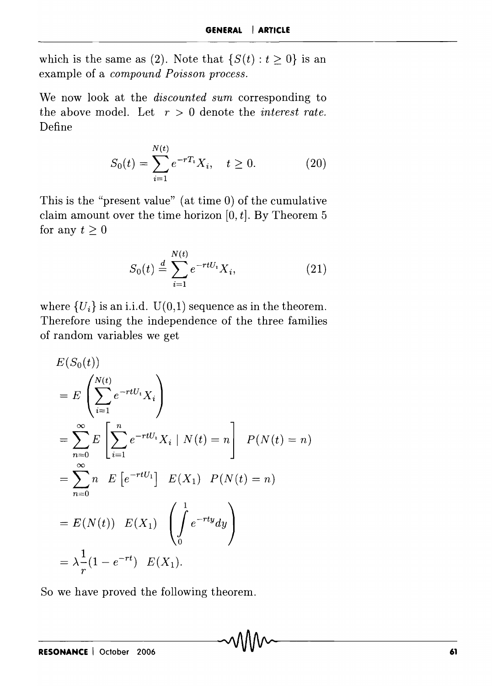which is the same as (2). Note that  $\{S(t): t \geq 0\}$  is an example of a *compound Poisson process.* 

We now look at the *discounted sum* corresponding to the above model. Let  $r > 0$  denote the *interest rate*. Define

$$
S_0(t) = \sum_{i=1}^{N(t)} e^{-rT_i} X_i, \quad t \ge 0.
$$
 (20)

This is the "present value" (at time 0) of the cumulative claim amount over the time horizon  $[0, t]$ . By Theorem 5 for any  $t \geq 0$ 

$$
S_0(t) \stackrel{d}{=} \sum_{i=1}^{N(t)} e^{-rtU_i} X_i,
$$
 (21)

where  $\{U_i\}$  is an i.i.d.  $U(0,1)$  sequence as in the theorem. Therefore using the independence of the three families of random variables we get

$$
E(S_0(t))
$$
  
=  $E\left(\sum_{i=1}^{N(t)} e^{-rtU_i} X_i\right)$   
=  $\sum_{n=0}^{\infty} E\left[\sum_{i=1}^{n} e^{-rtU_i} X_i \mid N(t) = n\right]$   $P(N(t) = n)$   
=  $\sum_{n=0}^{\infty} n E\left[e^{-rtU_1}\right]$   $E(X_1)$   $P(N(t) = n)$   
=  $E(N(t)) E(X_1)$   $\left(\int_0^1 e^{-rty} dy\right)$   
=  $\lambda \frac{1}{r} (1 - e^{-rt}) E(X_1).$ 

So we have proved the following theorem.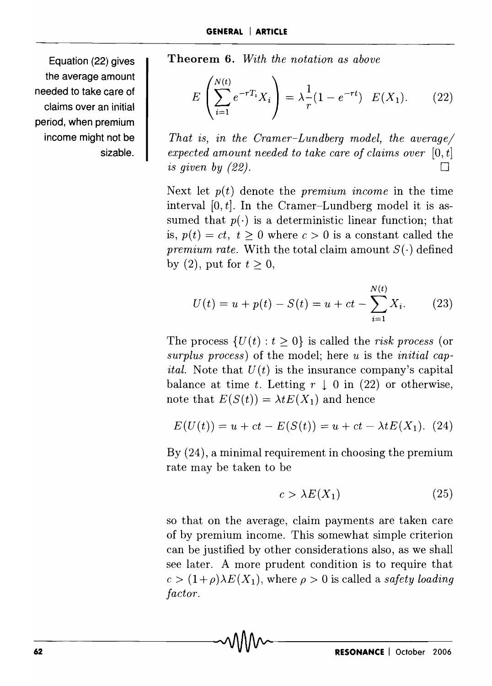Equation (22) gives the average amount needed to take care of claims over an initial period, when premium income might not be sizable.

Theorem 6. *With the notation as above* 

$$
E\left(\sum_{i=1}^{N(t)} e^{-rT_i} X_i\right) = \lambda \frac{1}{r} (1 - e^{-rt}) \quad E(X_1). \tag{22}
$$

*That is, in the Cramer-Lundberg model, the average/ expected amount needed to take care of claims over*  $[0, t]$ *is given by (22).*  $\Box$ 

Next let  $p(t)$  denote the *premium income* in the time interval  $[0, t]$ . In the Cramer-Lundberg model it is assumed that  $p(.)$  is a deterministic linear function; that is,  $p(t) = ct$ ,  $t > 0$  where  $c > 0$  is a constant called the *premium rate.* With the total claim amount  $S(\cdot)$  defined by (2), put for  $t \geq 0$ ,

$$
U(t) = u + p(t) - S(t) = u + ct - \sum_{i=1}^{N(t)} X_i.
$$
 (23)

The process  $\{U(t): t \geq 0\}$  is called the *risk process* (or *surplus process)* of the model; here *u* is the *initial capital.* Note that  $U(t)$  is the insurance company's capital balance at time *t*. Letting  $r \downarrow 0$  in (22) or otherwise, note that  $E(S(t)) = \lambda t E(X_1)$  and hence

$$
E(U(t)) = u + ct - E(S(t)) = u + ct - \lambda t E(X_1). (24)
$$

By (24), a minimal requirement in choosing the premium rate may be taken to be

$$
c > \lambda E(X_1) \tag{25}
$$

so that on the average, claim payments are taken care of by premium income. This somewhat simple criterion can be justified by other considerations also, as we shall see later. A more prudent condition is to require that  $c > (1+\rho)\lambda E(X_1)$ , where  $\rho > 0$  is called a *safety loading factor.*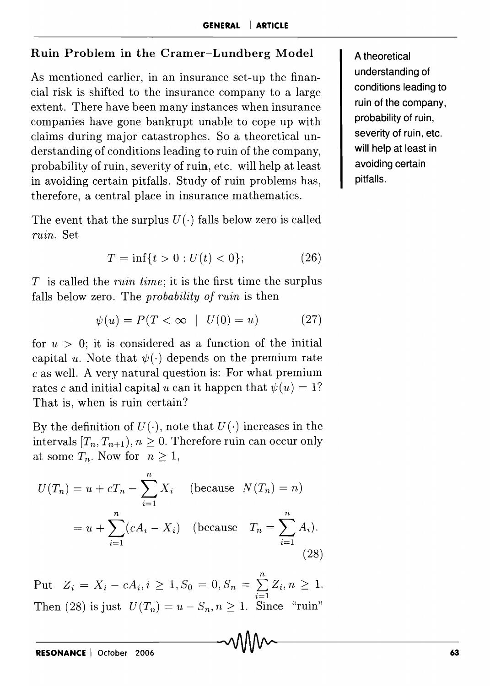#### Ruin Problem in the Cramer-Lundberg Model

As mentioned earlier, in an insurance set-up the financial risk is shifted to the insurance company to a large extent. There have been many instances when insurance companies have gone bankrupt unable to cope up with claims during major catastrophes. So a theoretical understanding of conditions leading to ruin of the company, probability of ruin, severity of ruin, etc. will help at least in avoiding certain pitfalls. Study of ruin problems has, therefore, a central place in insurance mathematics.

The event that the surplus  $U(\cdot)$  falls below zero is called *ruin.* Set

$$
T = \inf\{t > 0 : U(t) < 0\};\tag{26}
$$

*T* is called the *ruin time;* it is the first time the surplus falls below zero. The *probability of ruin* is then

$$
\psi(u) = P(T < \infty \mid U(0) = u) \tag{27}
$$

for  $u > 0$ ; it is considered as a function of the initial capital *u*. Note that  $\psi(\cdot)$  depends on the premium rate c as well. A very natural question is: For what premium rates c and initial capital u can it happen that  $\psi(u) = 1$ ? That is, when is ruin certain?

By the definition of  $U(\cdot)$ , note that  $U(\cdot)$  increases in the intervals  $[T_n, T_{n+1}), n \geq 0$ . Therefore ruin can occur only at some  $T_n$ . Now for  $n \geq 1$ ,

$$
U(T_n) = u + cT_n - \sum_{i=1}^n X_i \quad \text{(because } N(T_n) = n)
$$

$$
= u + \sum_{i=1}^n (cA_i - X_i) \quad \text{(because } T_n = \sum_{i=1}^n A_i).
$$
(28)

 $Put Z_i = X_i - cA_i, i \geq 1, S_0 = 0, S_n = \sum_{i=1}^{n} Z_i, n \geq 1.$  $\sum_{i=1}$ Then (28) is just  $U(T_n) = u - S_n, n \ge 1$ . Since "ruin"

A theoretical understanding of conditions leading to ruin of the company, probability of ruin, severity of ruin, etc. will help at least in avoiding certain pitfalls.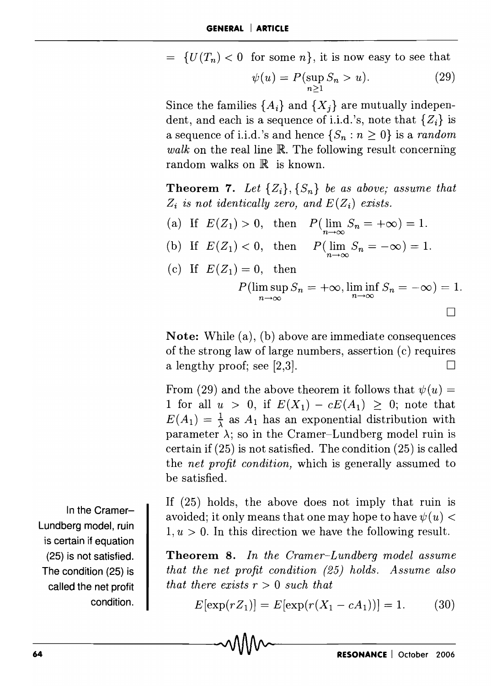$= \{U(T_n) < 0 \text{ for some } n\},\$ it is now easy to see that

$$
\psi(u) = P(\sup_{n \ge 1} S_n > u). \tag{29}
$$

Since the families  ${A_i}$  and  ${X_j}$  are mutually independent, and each is a sequence of i.i.d. 's, note that *{Zi}* is a sequence of i.i.d.'s and hence  $\{S_n : n \geq 0\}$  is a *random walk* on the real line R. The following result concerning random walks on  $\mathbb R$  is known.

**Theorem 7.** Let  $\{Z_i\}$ ,  $\{S_n\}$  be as above; assume that  $Z_i$  is not identically zero, and  $E(Z_i)$  exists.

(a) If  $E(Z_1) > 0$ , then  $P(\lim_{n \to \infty} S_n = +\infty) = 1$ . (b) If  $E(Z_1) < 0$ , then  $P(\lim_{n \to \infty} S_n = -\infty) = 1$ . (c) If  $E(Z_1) = 0$ , then  $P(\limsup_{n\to\infty} S_n = +\infty, \liminf_{n\to\infty} S_n = -\infty) = 1.$ o

Note: While (a), (b) above are immediate consequences of the strong law of large numbers, assertion (c) requires a lengthy proof; see [2,3].

From (29) and the above theorem it follows that  $\psi(u) =$ 1 for all  $u > 0$ , if  $E(X_1) - cE(A_1) \geq 0$ ; note that  $E(A_1) = \frac{1}{\lambda}$  as  $A_1$  has an exponential distribution with parameter  $\lambda$ ; so in the Cramer-Lundberg model ruin is certain if (25) is not satisfied. The condition (25) is called the *net profit condition,* which is generally assumed to be satisfied.

If (25) holds, the above does not imply that ruin is avoided; it only means that one may hope to have  $\psi(u)$  <  $1, u > 0$ . In this direction we have the following result.

Theorem 8. *In the Cramer-Lundberg model assume that the net profit condition* (25) *holds. Assume also that there exists r* > 0 *such that* 

$$
E[\exp(rZ_1)] = E[\exp(r(X_1 - cA_1))] = 1.
$$
 (30)

In the Cramer-Lundberg model, ruin is certain if equation (25) is not satisfied. The condition (25) is called the net profit condition.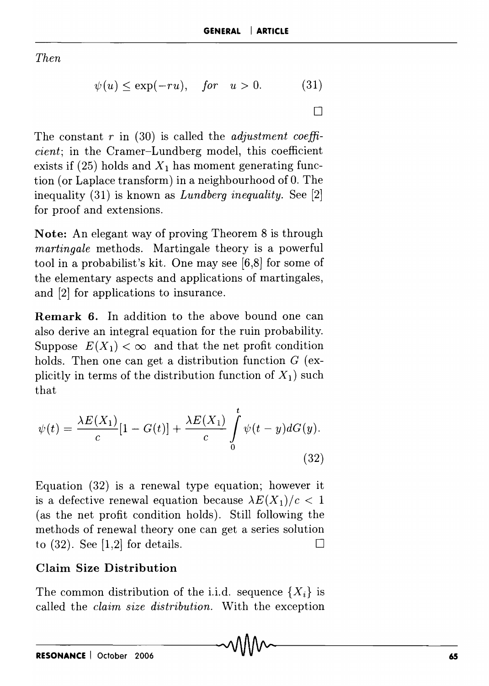*Then* 

$$
\psi(u) \le \exp(-ru), \quad for \quad u > 0. \tag{31}
$$

 $\Box$ 

The constant *r* in (30) is called the *adjustment coefficient;* in the Cramer-Lundberg model, this coefficient exists if (25) holds and  $X_1$  has moment generating function (or Laplace transform) in a neighbourhood of O. The inequality (31) is known as *Lundberg inequality.* See [2] for proof and extensions.

**Note:** An elegant way of proving Theorem 8 is through *martingale* methods. Martingale theory is a powerful tool in a probabilist's kit. One may see [6,8] for some of the elementary aspects and applications of martingales, and [2] for applications to insurance.

**Remark 6. In** addition to the above bound one can also derive an integral equation for the ruin probability. Suppose  $E(X_1) < \infty$  and that the net profit condition holds. Then one can get a distribution function  $G$  (explicitly in terms of the distribution function of  $X_1$ ) such that

$$
\psi(t) = \frac{\lambda E(X_1)}{c} [1 - G(t)] + \frac{\lambda E(X_1)}{c} \int_0^t \psi(t - y) dG(y).
$$
\n(32)

Equation (32) is a renewal type equation; however it is a defective renewal equation because  $\lambda E(X_1)/c < 1$ (as the net profit condition holds). Still following the methods of renewal theory one can get a series solution to (32). See [1,2] for details.  $\Box$ 

## **Claim Size Distribution**

The common distribution of the i.i.d. sequence  $\{X_i\}$  is called the *claim size distribution.* With the exception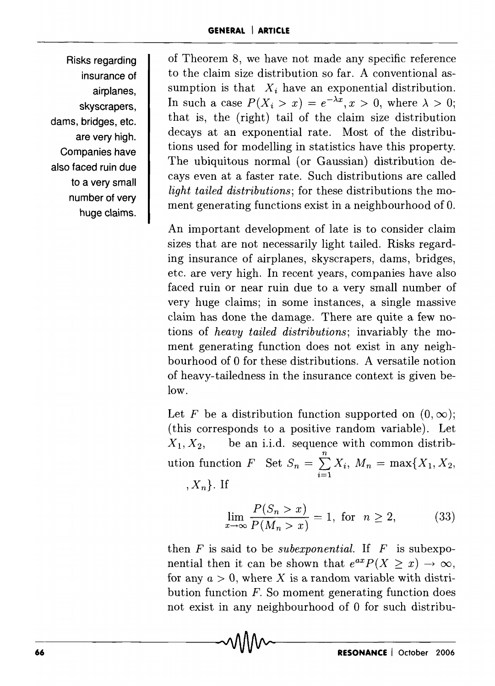Risks regarding insurance of airplanes, skyscrapers, dams, bridges, etc. are very high. Companies have also faced ruin due to a very small number of very huge claims.

of Theorem 8, we have not made any specific reference to the claim size distribution so far. A conventional assumption is that  $X_i$  have an exponential distribution. In such a case  $P(X_i > x) = e^{-\lambda x}, x > 0$ , where  $\lambda > 0$ ; that is, the (right) tail of the claim size distribution decays at an exponential rate. Most of the distributions used for modelling in statistics have this property. The ubiquitous normal (or Gaussian) distribution decays even at a faster rate. Such distributions are called *light tailed distributions;* for these distributions the moment generating functions exist in a neighbourhood of O.

An important development of late is to consider claim sizes that are not necessarily light tailed. Risks regarding insurance of airplanes, skyscrapers, dams, bridges, etc. are very high. In recent years, companies have also faced ruin or near ruin due to a very small number of very huge claims; in some instances, a single massive claim has done the damage. There are quite a few notions of *heavy tailed distributions;* invariably the moment generating function does not exist in any neighbourhood of 0 for these distributions. A versatile notion of heavy-tailedness in the insurance context is given below.

Let F be a distribution function supported on  $(0,\infty)$ ; (this corresponds to a positive random variable). Let  $X_1, X_2,$  be an i.i.d. sequence with common distribution function *F* Set  $S_n = \sum_{i=1}^{n} X_i$ ,  $M_n = \max\{X_1, X_2, \dots\}$  $i=1$  $,X_n$ . If

$$
\lim_{x \to \infty} \frac{P(S_n > x)}{P(M_n > x)} = 1, \text{ for } n \ge 2,
$$
 (33)

then  $F$  is said to be *subexponential*. If  $F$  is subexponential then it can be shown that  $e^{ax}P(X \geq x) \rightarrow \infty$ , for any  $a > 0$ , where X is a random variable with distribution function *F.* So moment generating function does not exist in any neighbourhood of 0 for such distribu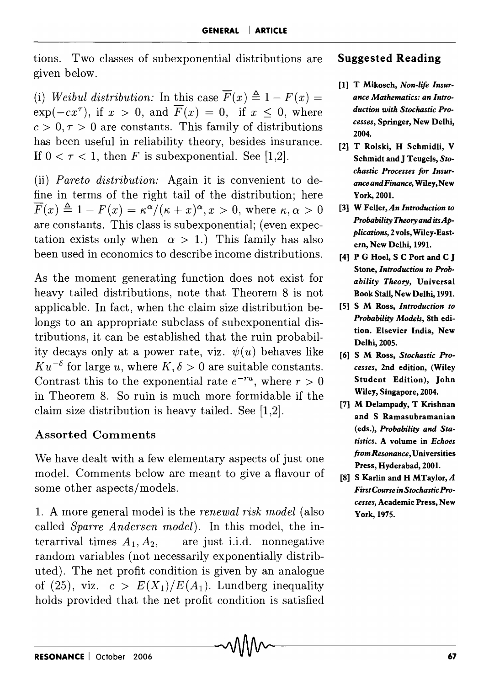tions. Two classes of subexponential distributions are Suggested Reading given below.

(i) *Weibul distribution:* In this case  $\overline{F}(x) \triangleq 1 - F(x) =$  $\exp(-cx^{\tau})$ , if  $x > 0$ , and  $\overline{F}(x) = 0$ , if  $x \le 0$ , where  $c > 0, \tau > 0$  are constants. This family of distributions has been useful in reliability theory, besides insurance. If  $0 < \tau < 1$ , then F is subexponential. See [1,2].

(ii) *Pareto distribution:* Again it is convenient to define in terms of the right tail of the distribution; here  $\overline{F}(x) \triangleq 1 - F(x) = \kappa^{\alpha}/(\kappa + x)^{\alpha}, x > 0$ , where  $\kappa, \alpha > 0$ are constants. This class is subexponential; (even expectation exists only when  $\alpha > 1$ .) This family has also been used in economics to describe income distributions.

As the moment generating function does not exist for heavy tailed distributions, note that Theorem 8 is not applicable. In fact, when the claim size distribution belongs to an appropriate subclass of subexponential distributions, it can be established that the ruin probability decays only at a power rate, viz.  $\psi(u)$  behaves like  $K u^{-\delta}$  for large *u*, where  $K, \delta > 0$  are suitable constants. Contrast this to the exponential rate  $e^{-ru}$ , where  $r > 0$ in Theorem 8. So ruin is much more formidable if the claim size distribution is heavy tailed. See [1,2].

## Assorted Comments

We have dealt with a few elementary aspects of just one model. Comments below are meant to give a flavour of some other aspects/models.

1. A more general model is the *renewal risk model* (also called *Sparre Andersen model).* In this model, the interarrival times  $A_1, A_2,$  are just i.i.d. nonnegative random variables (not necessarily exponentially distributed). The net profit condition is given by an analogue of (25), viz.  $c > E(X_1)/E(A_1)$ . Lundberg inequality holds provided that the net profit condition is satisfied

- [1] T Mikosch, *Non-life Insurance Mathematics: an Introduction with Stochastic Processes,* Springer, New Delhi, 2004.
- [2] T Rolski, H Schmidli, V Schmidt and J Teugels, *Stochastic Processes for InsuranceandFinance,* Wiley,New York, 200l.
- [3] W Feller, *An Introduction to Probability Theory and itsApplications,* 2 vols, Wiley-Eastern, New Delhi, 1991.
- [4] P G Hoel, S C Port and C J Stone, *Introduction to Probability Theory,* Universal Book Stall, New Delhi, 1991.
- [5] S M Ross, *Introduction to Probability Models,* 8th edition. Elsevier India, New Delhi, 2005.
- [6] S M Ross, *Stochastic Processes,* 2nd edition, (Wiley Student Edition), John Wiley, Singapore, 2004.
- [7] M Delampady, T Krishnan and S Ramasubramanian (eds.), *Probability and Statistics.* A volume in *Echoes from Resonance,* Universities Press, Hyderabad, 2001.
- [8] S Karlin and H MTaylor, *A First Course in Stochastic Processes,* Academic Press, New York, 1975.